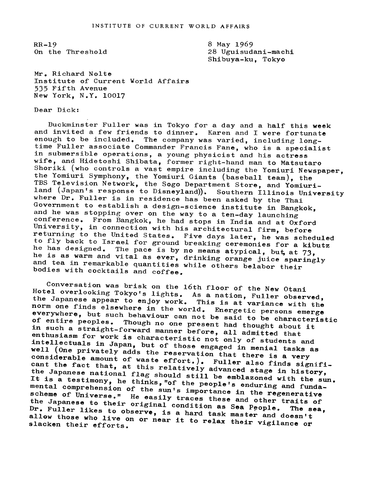RR-19 On the Threshold 8 May 1969 28 Uguisudani-machi Shibuya-ku, Tokyo

Mr. Richard Nolte Institute of Current World Affairs 535 Fifth Avenue New York, N.Y. 10017

## Dear Dick:

Buckminster Fuller was in Tokyo for a day and a half this week and invited a few friends to dinner. Karen and <sup>I</sup> were fortunate enough to be included. The company was varied, including longtime Fuller associate Commander Francis Fane, who is <sup>a</sup> specialist in submersible operations, <sup>a</sup> young physicist and his actress wife, and Hidetoshi Shibata, former right-hand man to Matsutaro Shoriki (who controls <sup>a</sup> vast empire including the Yomiuri Newspaper, the Yomiuri Symphony, the Yomiuri Giants (baseball team), the TBS Television Network, the Sogo Department Store, and Yomiuri-<br>land (Japan's response to Disneyland)). Southern Illinois University<br>where Dr. Fuller is in residence has been asked by the Thai<br>Government to establish a des he is as warm and vital as ever, drinking orange juice sparingly<br>and tea in remarkable quantities while others belabor their<br>bodies with cocktails and coffee. he has designed. The pace is by no means atypical, but, at  $73$ , and tea in remarkable quantities while others belabor their<br>bodies with cocktails and coffee.

Hotel overlooking Tokyo's lights. As a nation, Fuller observed,<br>the Japanese appear to enjoy your said is a nation, Fuller observed, Conversation was brisk on the 16th floor of the New Otani the Japanese appear to enjoy work. As a hation, fuller observed,<br>norm one finds elsewhere in the work. This is at variance with the norm one finds elsewhere in the world. Energetic persons emerge<br>everywhere, but such behaviour can be there it because emerge everywhere, but such behaviour can not be said to be characteristic<br>of entire peoples. Though no one masses in to be characteristic of entire peoples. Though no one present had thought about it<br>in such a straight-forward momen cone of thought about it in such a straight-forward manner before, all admitted that enthusiasm for work is characteristic not only of students and<br>intellectuals in Japan, but of these intellectuals in Japan, but of those engaged in menial tasks as well (One privately adds the reservation that there is a very<br>considerable amount of waste offent.) considerable considerable amount of waste effort.). Fuller also finds signifi-<br>cant the fact that, at this relatively educated also finds signifithe Japanese national flag should still be emblazoned with the sun.<br>It is a testimony, he thinks, "of the people's a little the sun. cant the fact that, at this relatively advanced stage in history, It is a testimony, he thinks, "of the people's enduring and funda-<br>mental comprehension of the sunic import. mental comprehension of the sun's importance in the regenerative<br>scheme of Universe." He easily type in the regenerative scheme of Universe." He easily traces these and other traits of<br>the Japanese to their original conditions and other traits of the Japanese to their original condition as Sea People. The sea,<br>Dr. Fuller likes to observe, is a hard tool. Dr. Fuller likes to observe, is a hard task master and doesn't<br>allow those who live on or near it to male. He was allow those who live on or near it to male. allow those who live on or near it to relax their vigilance of<br>slacken their efforts. slacken their efforts.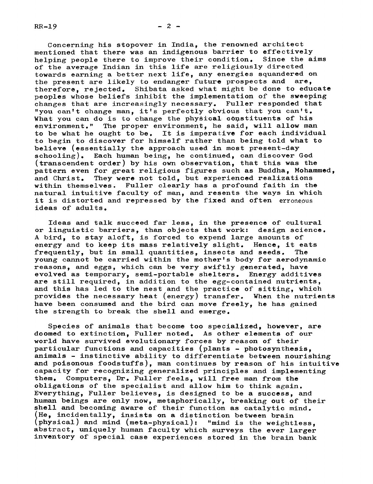Concerning his stopover in India, the renowned architect mentioned that there was an indigenous barrier to effectively helping people there to improve their condition. Since the aims of the average Indian in this life are religiously directed towards earning a better next life, any energies squandered on the present are likely to endanger future prospects and are, therefore, rejected. Shibata asked what might be done to educate peoples whose beliefs inhibit the implementation of the sweeping changes that are increasingly necessary. Fuller responded that "you can't change man, it's perfectly obvious that you can't. What you can do is to change the physical constituents of his environment." The proper environment, he said, will allow man to be what he ought to be. It is imperative for each individual to begin to discover for himself rather than being told what to believe (essentially the approach used in most present-day schooling). Each human being, he continued, can discover God (transcendent order) by his own observation, that this was the pattern even for great religious figures such as Buddha, Mohammed, and Christ. They were not told. but experienced realizations They were not told, but experienced realizations within themselves, Fuller clearly has a profound faith in the natural intuitive faculty of man, and resents the ways in which it is distorted and repressed by the fixed and often erroneous ideas of adults.

Ideas and talk succeed far less, in the presence of cultural or linguistic barriers, than objects that work: design science. A bird, to stay aloft, is forced to expend large amounts of energy and to keep its mass relatively slight. Hence, it eats frequently, but in small quantities, insects and seeds. The young cannot be carried within the mother's body for aerodynamic reasons, and eggs, which can be very swiftly generated, have evolved as temporary, semi-portable shelters. Energy additives are still required, in addition to the egg-contained nutrients, and this has led to the nest and the practice of sitting, which provides the necessary heat (energy) transfer. When the nutrients have been consumed and the bird can move freely, he has gained the strength to break the shell and emerge.

Species of animals that become too specialized, however, are doomed to extinction, Fuller noted. As other elements of our world have survived evolutionary forces by reason of their particular functions and capacities (plants - photosynthesis. animals - instinctive ability to differentiate between nourishing and poisonous foodstuffs), man continues by reason of his intuitive capacity for recognizing generalized principles and implementing<br>them. Computers. Dr. Fuller feels. will free man from the Computers, Dr. Fuller feels, will free man from the obligations of the specialist and allow him to think again. Everything, Fuller believes, is designed to be a success, and human beings are only now, metaphorically, breaking out of their shell and becoming aware of their function as catalytic mind. (He, incidentally, insists on a distinction between brain (physical) and mind (meta-physical): "mind is the weightless, abstract, uniquely human faculty which surveys the ever larger inventory of special case experiences stored in the brain bank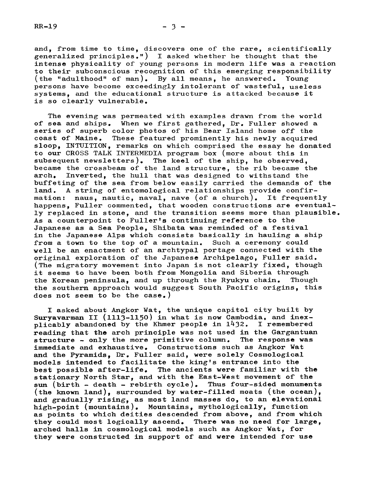and, from time to time, discovers one of the rare, scientifically generalized principles.") I asked whether he thought that the intense physicality of young persons in modern life was a reaction to their subconscious recognition of this emerging responsibility (the "adulthood" of man). By all means, he answered. Young By all means, he answered. persons have become exceedingly intolerant of wasteful, useless systems, and the educational structure is attacked because it is so clearly vulnerable.

The evening was permeated with examples drawn from the world of sea and ships. When we first gathered, Dr. Fuller showed a series of superb color photos of his Bear Island home off the coast of Maine. These featured prominently his newly acquired sloop, INTUITION, remarks on which comprised the essay he donated to our CROSS TALK INTERMEDIA program box (more about this in subsequent newsletters). The keel of the ship, he observed, became the crossbeam of the land structure, the rib became the arch. Inverted, the hull that was designed to withstand the Inverted, the hull that was designed to withstand the buffeting of the sea from below easily carried the demands of the land. A string of entomological relationships provide confir-<br>mation: naus, nautic, naval, nave (of a church). It frequently mation: naus, nautic, naval, nave (of a church). happens, Fuller commented, that wooden constructions are eventually replaced in stone, and the transition seems more than plausible. As a counterpoint to Fuller's continuing reference to the Japanese as a Sea People, Shibata was reminded of a festival in the Japanese Alps which consists basically in hauling a ship from a town to the top of a mountain. Such a ceremony could well be an enactment of an archtypal portage connected with the original exploration of the Japanese Archipelago, Fuller said. (The migratory movement into Japan is not clearly fixed, though it seems to have been both from Mongolia and Siberia through the Korean peninsula, and up through the Ryukyu chain. Though the southern approach would suggest South Pacific origins, this does not seem to be the case.)

I asked about Angkor Wat, the unique capitol city built by Suryavarman II (1113-1150) in what is now Cambodia, and inex-<br>plicably abandoned by the Khmer people in  $1432$ . I remembered plicably abandoned by the Khmer people in  $1432$ . reading that the arch principle was not used in the Gargantuan structure - only the more primitive column. The response was immediate and exhaustive. Constructions such as Angkor Wat and the Pyramids, Dr. Fuller said, were solely Cosmological models intended to facilitate the king's entrance into the best possible after-life. The ancients were familiar with the stationary North Star, and with the East-West movement of the sun (birth - death - rebirth cycle). Thus four-sided monuments (the known land), surrounded by water-filled moats (the ocean), and gradually rising, as most land masses do, to an elevational high-point (mountains). Mountains, mythologically, function as points to which deities descended from above, and from which they could most logically ascend. There was no need for large, arched halls in cosmological models such as Angkor Wat, for they were constructed in support of and were intended for use